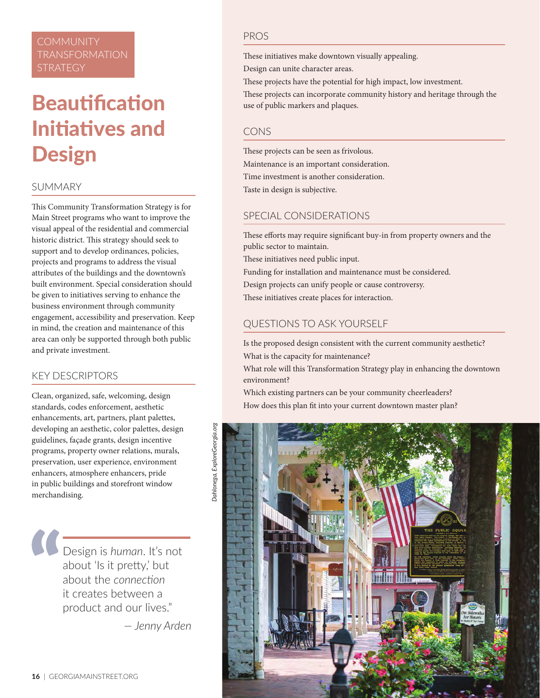# **COMMUNITY** TRANSFORMATION

# **Beautification** Initiatives and Design

## **SUMMARY**

This Community Transformation Strategy is for Main Street programs who want to improve the visual appeal of the residential and commercial historic district. This strategy should seek to support and to develop ordinances, policies, projects and programs to address the visual attributes of the buildings and the downtown's built environment. Special consideration should be given to initiatives serving to enhance the business environment through community engagement, accessibility and preservation. Keep in mind, the creation and maintenance of this area can only be supported through both public and private investment.

### KEY DESCRIPTORS

Clean, organized, safe, welcoming, design standards, codes enforcement, aesthetic enhancements, art, partners, plant palettes, developing an aesthetic, color palettes, design guidelines, façade grants, design incentive programs, property owner relations, murals, preservation, user experience, environment enhancers, atmosphere enhancers, pride in public buildings and storefront window merchandising.

> Design is *human*. It's not about 'Is it pretty,' but about the *connection* it creates between a product and our lives."

> > *— Jenny Arden*

#### PROS

These initiatives make downtown visually appealing.

Design can unite character areas.

These projects have the potential for high impact, low investment.

These projects can incorporate community history and heritage through the use of public markers and plaques.

#### CONS

These projects can be seen as frivolous. Maintenance is an important consideration. Time investment is another consideration. Taste in design is subjective.

## SPECIAL CONSIDERATIONS

These efforts may require significant buy-in from property owners and the public sector to maintain.

These initiatives need public input.

Funding for installation and maintenance must be considered.

Design projects can unify people or cause controversy.

These initiatives create places for interaction.

# QUESTIONS TO ASK YOURSELF

Is the proposed design consistent with the current community aesthetic? What is the capacity for maintenance?

What role will this Transformation Strategy play in enhancing the downtown environment?

Which existing partners can be your community cheerleaders? How does this plan fit into your current downtown master plan?